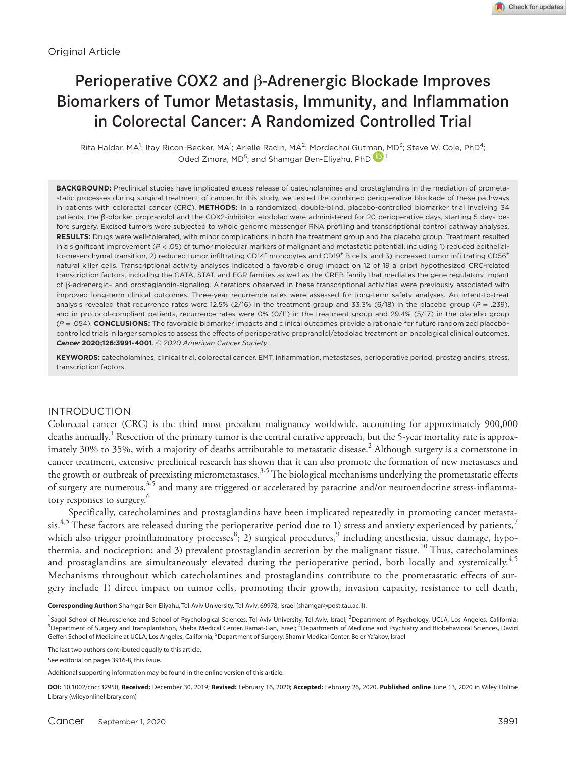# Perioperative COX2 and β-Adrenergic Blockade Improves Biomarkers of Tumor Metastasis, Immunity, and Inflammation in Colorectal Cancer: A Randomized Controlled Trial

Rita Haldar, MA<sup>1</sup>; Itay Ricon-Becker, MA<sup>1</sup>; Arielle Radin, MA<sup>2</sup>; Mordechai Gut[man,](https://orcid.org/0000-0003-3832-0678) MD<sup>3</sup>; Steve W. Cole, PhD<sup>4</sup>; Oded Zmora, MD<sup>5</sup>; and Shamgar Ben-Eliyahu, PhD<sup>1</sup>

**BACKGROUND:** Preclinical studies have implicated excess release of catecholamines and prostaglandins in the mediation of prometastatic processes during surgical treatment of cancer. In this study, we tested the combined perioperative blockade of these pathways in patients with colorectal cancer (CRC). **METHODS:** In a randomized, double-blind, placebo-controlled biomarker trial involving 34 patients, the β-blocker propranolol and the COX2-inhibitor etodolac were administered for 20 perioperative days, starting 5 days before surgery. Excised tumors were subjected to whole genome messenger RNA profiling and transcriptional control pathway analyses. **RESULTS:** Drugs were well-tolerated, with minor complications in both the treatment group and the placebo group. Treatment resulted in a significant improvement ( $P < .05$ ) of tumor molecular markers of malignant and metastatic potential, including 1) reduced epithelialto-mesenchymal transition, 2) reduced tumor infiltrating CD14<sup>+</sup> monocytes and CD19<sup>+</sup> B cells, and 3) increased tumor infiltrating CD56<sup>+</sup> natural killer cells. Transcriptional activity analyses indicated a favorable drug impact on 12 of 19 a priori hypothesized CRC-related transcription factors, including the GATA, STAT, and EGR families as well as the CREB family that mediates the gene regulatory impact of β-adrenergic– and prostaglandin-signaling. Alterations observed in these transcriptional activities were previously associated with improved long-term clinical outcomes. Three-year recurrence rates were assessed for long-term safety analyses. An intent-to-treat analysis revealed that recurrence rates were 12.5% (2/16) in the treatment group and 33.3% (6/18) in the placebo group (*P* = .239), and in protocol-compliant patients, recurrence rates were 0% (0/11) in the treatment group and 29.4% (5/17) in the placebo group (*P* = .054). **CONCLUSIONS:** The favorable biomarker impacts and clinical outcomes provide a rationale for future randomized placebocontrolled trials in larger samples to assess the effects of perioperative propranolol/etodolac treatment on oncological clinical outcomes. *Cancer* **2020;126:3991-4001**. *© 2020 American Cancer Society*.

**KEYWORDS:** catecholamines, clinical trial, colorectal cancer, EMT, inflammation, metastases, perioperative period, prostaglandins, stress, transcription factors.

## INTRODUCTION

Colorectal cancer (CRC) is the third most prevalent malignancy worldwide, accounting for approximately 900,000 deaths annually.<sup>1</sup> Resection of the primary tumor is the central curative approach, but the 5-year mortality rate is approximately 30% to 35%, with a majority of deaths attributable to metastatic disease. $^2$  Although surgery is a cornerstone in cancer treatment, extensive preclinical research has shown that it can also promote the formation of new metastases and the growth or outbreak of preexisting micrometastases.<sup>3-5</sup> The biological mechanisms underlying the prometastatic effects of surgery are numerous, $35$  and many are triggered or accelerated by paracrine and/or neuroendocrine stress-inflammatory responses to surgery.<sup>6</sup>

Specifically, catecholamines and prostaglandins have been implicated repeatedly in promoting cancer metastasis.<sup>4,5</sup> These factors are released during the perioperative period due to 1) stress and anxiety experienced by patients,<sup>7</sup> which also trigger proinflammatory processes $^8;$  2) surgical procedures, $^9$  including anesthesia, tissue damage, hypothermia, and nociception; and 3) prevalent prostaglandin secretion by the malignant tissue.<sup>10</sup> Thus, catecholamines and prostaglandins are simultaneously elevated during the perioperative period, both locally and systemically.<sup>4,5</sup> Mechanisms throughout which catecholamines and prostaglandins contribute to the prometastatic effects of surgery include 1) direct impact on tumor cells, promoting their growth, invasion capacity, resistance to cell death,

**Corresponding Author:** Shamgar Ben-Eliyahu, Tel-Aviv University, Tel-Aviv, 69978, Israel [\(shamgar@post.tau.ac.il\)](mailto:shamgar@post.tau.ac.il).

The last two authors contributed equally to this article.

See editorial on pages [3916-8,](https://doi.org/10.1002/cncr.32949) this issue.

<sup>&</sup>lt;sup>1</sup>Sagol School of Neuroscience and School of Psychological Sciences, Tel-Aviv University, Tel-Aviv, Israel; <sup>2</sup>Department of Psychology, UCLA, Los Angeles, California;<br><sup>3</sup>Department of Surgery and Transplantation, Shoba M Department of Surgery and Transplantation, Sheba Medical Center, Ramat-Gan, Israel; <sup>4</sup>Departments of Medicine and Psychiatry and Biobehavioral Sciences, David Geffen School of Medicine at UCLA, Los Angeles, California; <sup>5</sup>Department of Surgery, Shamir Medical Center, Be'er-Ya'akov, Israel

Additional supporting information may be found in the online version of this article.

**DOI:** 10.1002/cncr.32950, **Received:** December 30, 2019; **Revised:** February 16, 2020; **Accepted:** February 26, 2020, **Published online** June 13, 2020 in Wiley Online Library (wileyonlinelibrary.com)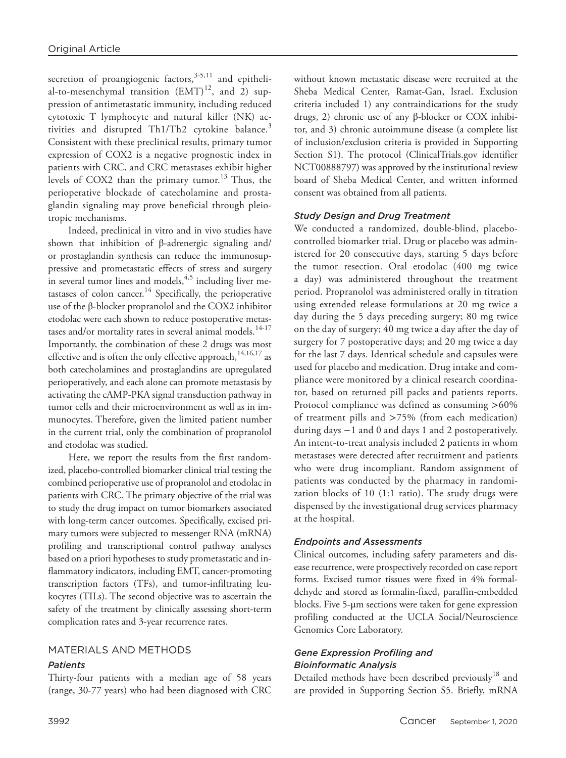secretion of proangiogenic factors, $3-5,11$  and epithelial-to-mesenchymal transition  $(EMT)^{12}$ , and 2) suppression of antimetastatic immunity, including reduced cytotoxic T lymphocyte and natural killer (NK) activities and disrupted Th $1/Th2$  cytokine balance.<sup>3</sup> Consistent with these preclinical results, primary tumor expression of COX2 is a negative prognostic index in patients with CRC, and CRC metastases exhibit higher levels of COX2 than the primary tumor.<sup>13</sup> Thus, the perioperative blockade of catecholamine and prostaglandin signaling may prove beneficial through pleiotropic mechanisms.

Indeed, preclinical in vitro and in vivo studies have shown that inhibition of β-adrenergic signaling and/ or prostaglandin synthesis can reduce the immunosuppressive and prometastatic effects of stress and surgery in several tumor lines and models,  $4.5$  including liver metastases of colon cancer.<sup>14</sup> Specifically, the perioperative use of the β-blocker propranolol and the COX2 inhibitor etodolac were each shown to reduce postoperative metastases and/or mortality rates in several animal models. $14-17$ Importantly, the combination of these 2 drugs was most effective and is often the only effective approach,  $14,16,17$  as both catecholamines and prostaglandins are upregulated perioperatively, and each alone can promote metastasis by activating the cAMP-PKA signal transduction pathway in tumor cells and their microenvironment as well as in immunocytes. Therefore, given the limited patient number in the current trial, only the combination of propranolol and etodolac was studied.

Here, we report the results from the first randomized, placebo-controlled biomarker clinical trial testing the combined perioperative use of propranolol and etodolac in patients with CRC. The primary objective of the trial was to study the drug impact on tumor biomarkers associated with long-term cancer outcomes. Specifically, excised primary tumors were subjected to messenger RNA (mRNA) profiling and transcriptional control pathway analyses based on a priori hypotheses to study prometastatic and inflammatory indicators, including EMT, cancer-promoting transcription factors (TFs), and tumor-infiltrating leukocytes (TILs). The second objective was to ascertain the safety of the treatment by clinically assessing short-term complication rates and 3-year recurrence rates.

## MATERIALS AND METHODS

## *Patients*

Thirty-four patients with a median age of 58 years (range, 30-77 years) who had been diagnosed with CRC without known metastatic disease were recruited at the Sheba Medical Center, Ramat-Gan, Israel. Exclusion criteria included 1) any contraindications for the study drugs, 2) chronic use of any β-blocker or COX inhibitor, and 3) chronic autoimmune disease (a complete list of inclusion/exclusion criteria is provided in Supporting Section S1). The protocol (ClinicalTrials.gov identifier NCT00888797) was approved by the institutional review board of Sheba Medical Center, and written informed consent was obtained from all patients.

## *Study Design and Drug Treatment*

We conducted a randomized, double-blind, placebocontrolled biomarker trial. Drug or placebo was administered for 20 consecutive days, starting 5 days before the tumor resection. Oral etodolac (400 mg twice a day) was administered throughout the treatment period. Propranolol was administered orally in titration using extended release formulations at 20 mg twice a day during the 5 days preceding surgery; 80 mg twice on the day of surgery; 40 mg twice a day after the day of surgery for 7 postoperative days; and 20 mg twice a day for the last 7 days. Identical schedule and capsules were used for placebo and medication. Drug intake and compliance were monitored by a clinical research coordinator, based on returned pill packs and patients reports. Protocol compliance was defined as consuming >60% of treatment pills and >75% (from each medication) during days −1 and 0 and days 1 and 2 postoperatively. An intent-to-treat analysis included 2 patients in whom metastases were detected after recruitment and patients who were drug incompliant. Random assignment of patients was conducted by the pharmacy in randomization blocks of 10 (1:1 ratio). The study drugs were dispensed by the investigational drug services pharmacy at the hospital.

## *Endpoints and Assessments*

Clinical outcomes, including safety parameters and disease recurrence, were prospectively recorded on case report forms. Excised tumor tissues were fixed in 4% formaldehyde and stored as formalin-fixed, paraffin-embedded blocks. Five 5-μm sections were taken for gene expression profiling conducted at the UCLA Social/Neuroscience Genomics Core Laboratory.

## *Gene Expression Profiling and Bioinformatic Analysis*

Detailed methods have been described previously $18$  and are provided in Supporting Section S5. Briefly, mRNA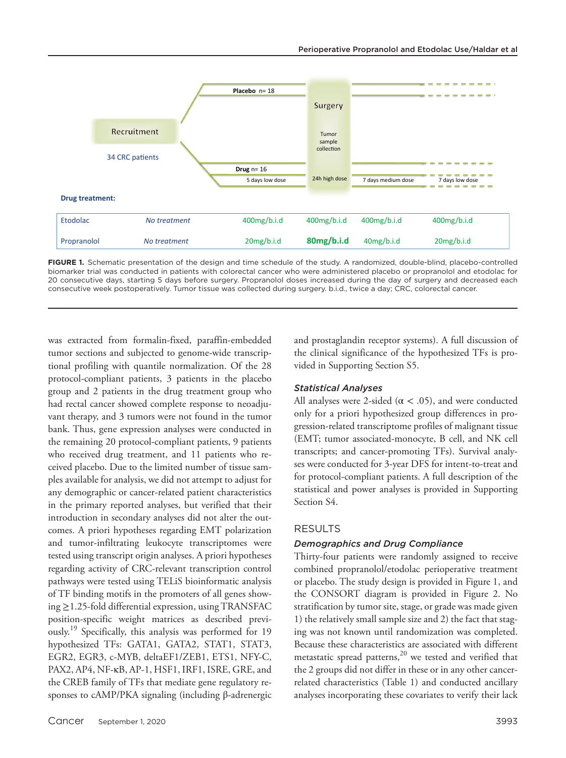

**FIGURE 1.** Schematic presentation of the design and time schedule of the study. A randomized, double-blind, placebo-controlled biomarker trial was conducted in patients with colorectal cancer who were administered placebo or propranolol and etodolac for 20 consecutive days, starting 5 days before surgery. Propranolol doses increased during the day of surgery and decreased each consecutive week postoperatively. Tumor tissue was collected during surgery. b.i.d., twice a day; CRC, colorectal cancer.

was extracted from formalin-fixed, paraffin-embedded tumor sections and subjected to genome-wide transcriptional profiling with quantile normalization. Of the 28 protocol-compliant patients, 3 patients in the placebo group and 2 patients in the drug treatment group who had rectal cancer showed complete response to neoadjuvant therapy, and 3 tumors were not found in the tumor bank. Thus, gene expression analyses were conducted in the remaining 20 protocol-compliant patients, 9 patients who received drug treatment, and 11 patients who received placebo. Due to the limited number of tissue samples available for analysis, we did not attempt to adjust for any demographic or cancer-related patient characteristics in the primary reported analyses, but verified that their introduction in secondary analyses did not alter the outcomes. A priori hypotheses regarding EMT polarization and tumor-infiltrating leukocyte transcriptomes were tested using transcript origin analyses. A priori hypotheses regarding activity of CRC-relevant transcription control pathways were tested using TELiS bioinformatic analysis of TF binding motifs in the promoters of all genes showing ≥1.25-fold differential expression, using TRANSFAC position-specific weight matrices as described previously.19 Specifically, this analysis was performed for 19 hypothesized TFs: GATA1, GATA2, STAT1, STAT3, EGR2, EGR3, c-MYB, deltaEF1/ZEB1, ETS1, NFY-C, PAX2, AP4, NF-κB, AP-1, HSF1, IRF1, ISRE, GRE, and the CREB family of TFs that mediate gene regulatory responses to cAMP/PKA signaling (including β-adrenergic and prostaglandin receptor systems). A full discussion of the clinical significance of the hypothesized TFs is provided in Supporting Section S5.

## *Statistical Analyses*

All analyses were 2-sided ( $\alpha$  < .05), and were conducted only for a priori hypothesized group differences in progression-related transcriptome profiles of malignant tissue (EMT; tumor associated-monocyte, B cell, and NK cell transcripts; and cancer-promoting TFs). Survival analyses were conducted for 3-year DFS for intent-to-treat and for protocol-compliant patients. A full description of the statistical and power analyses is provided in Supporting Section S4.

## RESULTS

## *Demographics and Drug Compliance*

Thirty-four patients were randomly assigned to receive combined propranolol/etodolac perioperative treatment or placebo. The study design is provided in Figure 1, and the CONSORT diagram is provided in Figure 2. No stratification by tumor site, stage, or grade was made given 1) the relatively small sample size and 2) the fact that staging was not known until randomization was completed. Because these characteristics are associated with different metastatic spread patterns, $20$  we tested and verified that the 2 groups did not differ in these or in any other cancerrelated characteristics (Table 1) and conducted ancillary analyses incorporating these covariates to verify their lack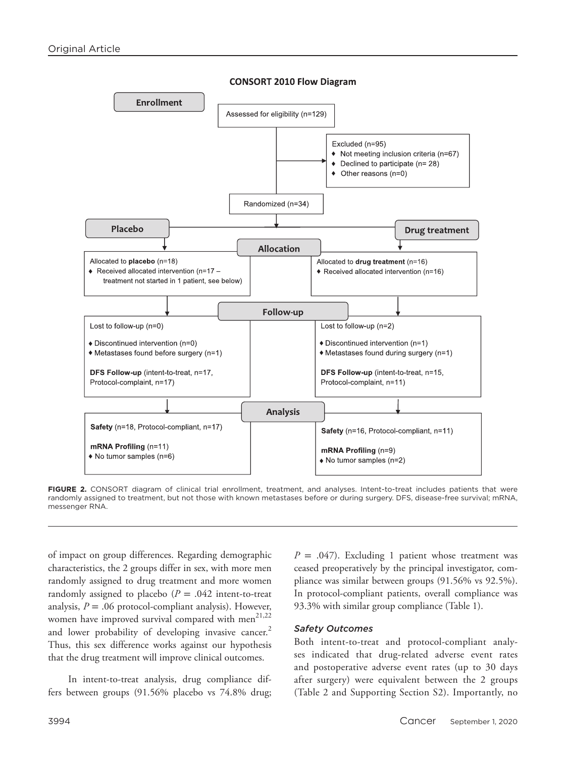

**CONSORT 2010 Flow Diagram** 

**FIGURE 2.** CONSORT diagram of clinical trial enrollment, treatment, and analyses. Intent-to-treat includes patients that were randomly assigned to treatment, but not those with known metastases before or during surgery. DFS, disease-free survival; mRNA, messenger RNA.

of impact on group differences. Regarding demographic characteristics, the 2 groups differ in sex, with more men randomly assigned to drug treatment and more women randomly assigned to placebo ( $P = .042$  intent-to-treat analysis,  $P = .06$  protocol-compliant analysis). However, women have improved survival compared with men $^{21,22}$ and lower probability of developing invasive cancer.<sup>2</sup> Thus, this sex difference works against our hypothesis that the drug treatment will improve clinical outcomes.

In intent-to-treat analysis, drug compliance differs between groups (91.56% placebo vs 74.8% drug;  $P = .047$ ). Excluding 1 patient whose treatment was ceased preoperatively by the principal investigator, compliance was similar between groups (91.56% vs 92.5%). In protocol-compliant patients, overall compliance was 93.3% with similar group compliance (Table 1).

## *Safety Outcomes*

Both intent-to-treat and protocol-compliant analyses indicated that drug-related adverse event rates and postoperative adverse event rates (up to 30 days after surgery) were equivalent between the 2 groups (Table 2 and Supporting Section S2). Importantly, no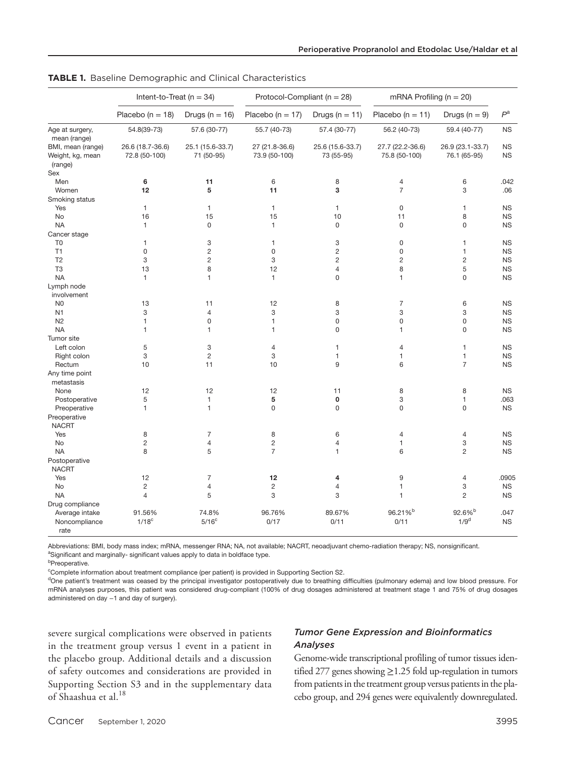|                                                         | Intent-to-Treat ( $n = 34$ )      |                                | Protocol-Compliant ( $n = 28$ ) |                                | mRNA Profiling ( $n = 20$ )       |                                  |                        |
|---------------------------------------------------------|-----------------------------------|--------------------------------|---------------------------------|--------------------------------|-----------------------------------|----------------------------------|------------------------|
|                                                         | Placebo ( $n = 18$ )              | Drugs ( $n = 16$ )             | Placebo ( $n = 17$ )            | Drugs ( $n = 11$ )             | Placebo ( $n = 11$ )              | Drugs $(n = 9)$                  | $P^a$                  |
| Age at surgery,<br>mean (range)                         | 54.8(39-73)                       | 57.6 (30-77)                   | 55.7 (40-73)                    | 57.4 (30-77)                   | 56.2 (40-73)                      | 59.4 (40-77)                     | <b>NS</b>              |
| BMI, mean (range)<br>Weight, kg, mean<br>(range)<br>Sex | 26.6 (18.7-36.6)<br>72.8 (50-100) | 25.1 (15.6-33.7)<br>71 (50-95) | 27 (21.8-36.6)<br>73.9 (50-100) | 25.6 (15.6-33.7)<br>73 (55-95) | 27.7 (22.2-36.6)<br>75.8 (50-100) | 26.9 (23.1-33.7)<br>76.1 (65-95) | <b>NS</b><br><b>NS</b> |
| Men                                                     | 6                                 | 11                             | 6                               | 8                              | $\overline{4}$                    | 6                                | .042                   |
| Women                                                   | 12                                | 5                              | 11                              | 3                              | $\overline{7}$                    | 3                                | .06                    |
|                                                         |                                   |                                |                                 |                                |                                   |                                  |                        |
| Smoking status                                          | $\mathbf{1}$                      | $\mathbf{1}$                   | $\mathbf{1}$                    | $\mathbf{1}$                   | $\mathbf 0$                       |                                  | <b>NS</b>              |
| Yes                                                     |                                   |                                |                                 |                                |                                   | 1                                |                        |
| No                                                      | 16                                | 15                             | 15                              | 10                             | 11                                | 8                                | <b>NS</b>              |
| <b>NA</b>                                               | $\mathbf{1}$                      | $\mathbf 0$                    | $\mathbf{1}$                    | $\mathbf 0$                    | $\mathbf 0$                       | $\mathbf 0$                      | <b>NS</b>              |
| Cancer stage                                            |                                   |                                |                                 |                                |                                   |                                  |                        |
| T <sub>0</sub>                                          | 1                                 | 3                              | $\mathbf{1}$                    | 3                              | 0                                 | 1                                | <b>NS</b>              |
| T1                                                      | $\overline{0}$                    | $\overline{c}$                 | $\mathbf 0$                     | $\overline{2}$                 | 0                                 | 1                                | <b>NS</b>              |
| T <sub>2</sub>                                          | 3                                 | $\overline{c}$                 | 3                               | $\overline{2}$                 | $\overline{c}$                    | $\overline{c}$                   | <b>NS</b>              |
| T <sub>3</sub>                                          | 13                                | 8                              | 12                              | $\overline{4}$                 | 8                                 | 5                                | <b>NS</b>              |
| <b>NA</b>                                               | 1                                 | $\mathbf{1}$                   | $\mathbf{1}$                    | $\mathbf 0$                    | $\mathbf{1}$                      | $\Omega$                         | <b>NS</b>              |
| Lymph node                                              |                                   |                                |                                 |                                |                                   |                                  |                        |
| involvement                                             |                                   |                                |                                 |                                |                                   |                                  |                        |
| N <sub>0</sub>                                          | 13                                | 11                             | 12                              | 8                              | $\overline{7}$                    | 6                                | <b>NS</b>              |
| N <sub>1</sub>                                          | 3                                 | $\overline{4}$                 | 3                               | 3                              | 3                                 | 3                                | <b>NS</b>              |
| N <sub>2</sub>                                          | 1                                 | $\mathbf 0$                    | 1                               | $\mathsf 0$                    | 0                                 | $\mathbf 0$                      | <b>NS</b>              |
| <b>NA</b>                                               | 1                                 | $\mathbf{1}$                   | 1                               | $\mathsf 0$                    | 1                                 | $\mathbf 0$                      | <b>NS</b>              |
| Tumor site                                              |                                   |                                |                                 |                                |                                   |                                  |                        |
| Left colon                                              | 5                                 | 3                              | $\overline{4}$                  | 1                              | $\overline{4}$                    | 1                                | <b>NS</b>              |
| Right colon                                             | 3                                 | $\overline{c}$                 | 3                               | 1                              | 1                                 | 1                                | <b>NS</b>              |
| Rectum                                                  | 10                                | 11                             | 10                              | 9                              | 6                                 | $\overline{7}$                   | <b>NS</b>              |
| Any time point<br>metastasis                            |                                   |                                |                                 |                                |                                   |                                  |                        |
| None                                                    | 12                                | 12                             | 12                              | 11                             | 8                                 | 8                                | <b>NS</b>              |
| Postoperative                                           | 5                                 | $\mathbf{1}$                   | 5                               | 0                              | 3                                 | 1                                | .063                   |
| Preoperative                                            | $\mathbf{1}$                      | $\mathbf{1}$                   | $\overline{0}$                  | $\mathbf 0$                    | $\overline{0}$                    | $\mathbf 0$                      | <b>NS</b>              |
| Preoperative<br><b>NACRT</b>                            |                                   |                                |                                 |                                |                                   |                                  |                        |
| Yes                                                     | 8                                 | $\overline{7}$                 | 8                               | 6                              | 4                                 | 4                                | <b>NS</b>              |
| No                                                      | $\overline{c}$                    | $\overline{4}$                 | $\overline{2}$                  | $\overline{4}$                 | $\mathbf{1}$                      | 3                                | <b>NS</b>              |
| <b>NA</b>                                               | 8                                 | 5                              | $\overline{7}$                  | $\mathbf{1}$                   | 6                                 | $\overline{2}$                   | <b>NS</b>              |
| Postoperative<br><b>NACRT</b>                           |                                   |                                |                                 |                                |                                   |                                  |                        |
| Yes                                                     | 12                                | $\overline{7}$                 | 12                              | 4                              | 9                                 | $\overline{4}$                   | .0905                  |
| No                                                      | $\overline{c}$                    | $\overline{4}$                 | $\overline{c}$                  | $\overline{4}$                 | 1                                 | 3                                | <b>NS</b>              |
| <b>NA</b>                                               | 4                                 | 5                              | 3                               | 3                              | 1                                 | 2                                | <b>NS</b>              |
| Drug compliance                                         |                                   |                                |                                 |                                |                                   |                                  |                        |
| Average intake                                          | 91.56%                            | 74.8%                          | 96.76%                          | 89.67%                         | 96.21% <sup>b</sup>               | $92.6\%$ <sup>b</sup>            | .047                   |
| Noncompliance                                           | $1/18^\circ$                      | $5/16^{\circ}$                 | 0/17                            | 0/11                           | 0/11                              | 1/9 <sup>d</sup>                 | <b>NS</b>              |
| rate                                                    |                                   |                                |                                 |                                |                                   |                                  |                        |

### **TABLE 1.** Baseline Demographic and Clinical Characteristics

Abbreviations: BMI, body mass index; mRNA, messenger RNA; NA, not available; NACRT, neoadjuvant chemo-radiation therapy; NS, nonsignificant. <sup>a</sup>Significant and marginally- significant values apply to data in boldface type.

<sup>b</sup>Preoperative.

<sup>c</sup>Complete information about treatment compliance (per patient) is provided in Supporting Section S2.

<sup>d</sup>One patient's treatment was ceased by the principal investigator postoperatively due to breathing difficulties (pulmonary edema) and low blood pressure. For mRNA analyses purposes, this patient was considered drug-compliant (100% of drug dosages administered at treatment stage 1 and 75% of drug dosages administered on day −1 and day of surgery).

severe surgical complications were observed in patients in the treatment group versus 1 event in a patient in the placebo group. Additional details and a discussion of safety outcomes and considerations are provided in Supporting Section S3 and in the supplementary data of Shaashua et al.<sup>18</sup>

## *Tumor Gene Expression and Bioinformatics Analyses*

Genome-wide transcriptional profiling of tumor tissues identified 277 genes showing  $\geq$  1.25 fold up-regulation in tumors from patients in the treatment group versus patients in the placebo group, and 294 genes were equivalently downregulated.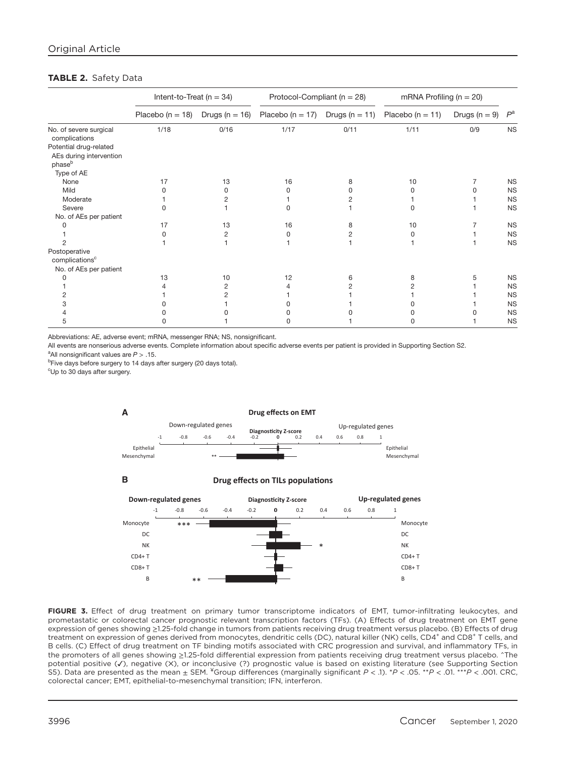## **TABLE 2.** Safety Data

|                                                                         | Intent-to-Treat ( $n = 34$ ) |                    | Protocol-Compliant ( $n = 28$ ) |                    | mRNA Profiling ( $n = 20$ ) |                 |           |
|-------------------------------------------------------------------------|------------------------------|--------------------|---------------------------------|--------------------|-----------------------------|-----------------|-----------|
|                                                                         | Placebo ( $n = 18$ )         | Drugs ( $n = 16$ ) | Placebo ( $n = 17$ )            | Drugs ( $n = 11$ ) | Placebo ( $n = 11$ )        | Drugs $(n = 9)$ | $P^a$     |
| No. of severe surgical<br>complications                                 | 1/18                         | 0/16               | 1/17                            | 0/11               | 1/11                        | 0/9             | <b>NS</b> |
| Potential drug-related<br>AEs during intervention<br>phase <sup>b</sup> |                              |                    |                                 |                    |                             |                 |           |
| Type of AE                                                              |                              |                    |                                 |                    |                             |                 |           |
| None                                                                    | 17                           | 13                 | 16                              |                    | 10                          |                 | <b>NS</b> |
| Mild                                                                    |                              |                    |                                 |                    |                             |                 | <b>NS</b> |
| Moderate                                                                |                              |                    |                                 |                    |                             |                 | <b>NS</b> |
| Severe                                                                  | U                            |                    | U                               |                    |                             |                 | <b>NS</b> |
| No. of AEs per patient                                                  |                              |                    |                                 |                    |                             |                 |           |
|                                                                         | 17                           | 13                 | 16                              |                    | 10                          |                 | <b>NS</b> |
|                                                                         | U                            |                    | 0                               |                    |                             |                 | <b>NS</b> |
|                                                                         |                              |                    |                                 |                    |                             |                 | <b>NS</b> |
| Postoperative<br>complications <sup>c</sup>                             |                              |                    |                                 |                    |                             |                 |           |
| No. of AEs per patient                                                  |                              |                    |                                 |                    |                             |                 |           |
|                                                                         | 13                           | 10                 | 12                              |                    |                             |                 | <b>NS</b> |
|                                                                         |                              |                    |                                 |                    |                             |                 | <b>NS</b> |
|                                                                         |                              |                    |                                 |                    |                             |                 | <b>NS</b> |
|                                                                         |                              |                    |                                 |                    |                             |                 | <b>NS</b> |
|                                                                         |                              |                    |                                 |                    |                             |                 | <b>NS</b> |
| 5                                                                       |                              |                    |                                 |                    |                             |                 | <b>NS</b> |

Abbreviations: AE, adverse event; mRNA, messenger RNA; NS, nonsignificant.

All events are nonserious adverse events. Complete information about specific adverse events per patient is provided in Supporting Section S2.

<sup>a</sup> All nonsignificant values are  $P > .15$ .

<sup>b</sup>Five days before surgery to 14 days after surgery (20 days total).

<sup>c</sup>Up to 30 days after surgery.



**FIGURE 3.** Effect of drug treatment on primary tumor transcriptome indicators of EMT, tumor-infiltrating leukocytes, and prometastatic or colorectal cancer prognostic relevant transcription factors (TFs). (A) Effects of drug treatment on EMT gene expression of genes showing ≥1.25-fold change in tumors from patients receiving drug treatment versus placebo. (B) Effects of drug treatment on expression of genes derived from monocytes, dendritic cells (DC), natural killer (NK) cells, CD4<sup>+</sup> and CD8<sup>+</sup> T cells, and B cells. (C) Effect of drug treatment on TF binding motifs associated with CRC progression and survival, and inflammatory TFs, in the promoters of all genes showing ≥1.25-fold differential expression from patients receiving drug treatment versus placebo. ^The potential positive (√), negative (×), or inconclusive (?) prognostic value is based on existing literature (see Supporting Section S5). Data are presented as the mean ± SEM. ¥Group differences (marginally significant *P* < .1). \**P* < .05. \*\**P* < .01. \*\*\**P* < .001. CRC, colorectal cancer; EMT, epithelial-to-mesenchymal transition; IFN, interferon.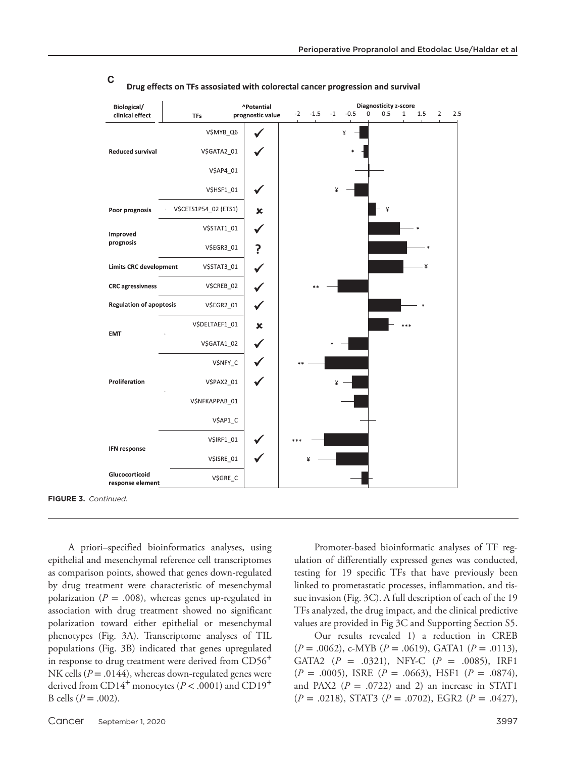

#### **C** Drug effects on TFs assosiated with colorectal cancer progression and survival

**FIGURE 3.** *Continued.*

A priori–specified bioinformatics analyses, using epithelial and mesenchymal reference cell transcriptomes as comparison points, showed that genes down-regulated by drug treatment were characteristic of mesenchymal polarization ( $P = .008$ ), whereas genes up-regulated in association with drug treatment showed no significant polarization toward either epithelial or mesenchymal phenotypes (Fig. 3A). Transcriptome analyses of TIL populations (Fig. 3B) indicated that genes upregulated in response to drug treatment were derived from CD56<sup>+</sup> NK cells ( $P = .0144$ ), whereas down-regulated genes were derived from CD14<sup>+</sup> monocytes ( $P < .0001$ ) and CD19<sup>+</sup> B cells ( $P = .002$ ).

Promoter-based bioinformatic analyses of TF regulation of differentially expressed genes was conducted, testing for 19 specific TFs that have previously been linked to prometastatic processes, inflammation, and tissue invasion (Fig. 3C). A full description of each of the 19 TFs analyzed, the drug impact, and the clinical predictive values are provided in Fig 3C and Supporting Section S5.

Our results revealed 1) a reduction in CREB (*P* = .0062), c-MYB (*P* = .0619), GATA1 (*P* = .0113), GATA2 (*P* = .0321), NFY-C (*P* = .0085), IRF1 (*P* = .0005), ISRE (*P* = .0663), HSF1 (*P* = .0874), and PAX2  $(P = .0722)$  and 2) an increase in STAT1 (*P* = .0218), STAT3 (*P* = .0702), EGR2 (*P* = .0427),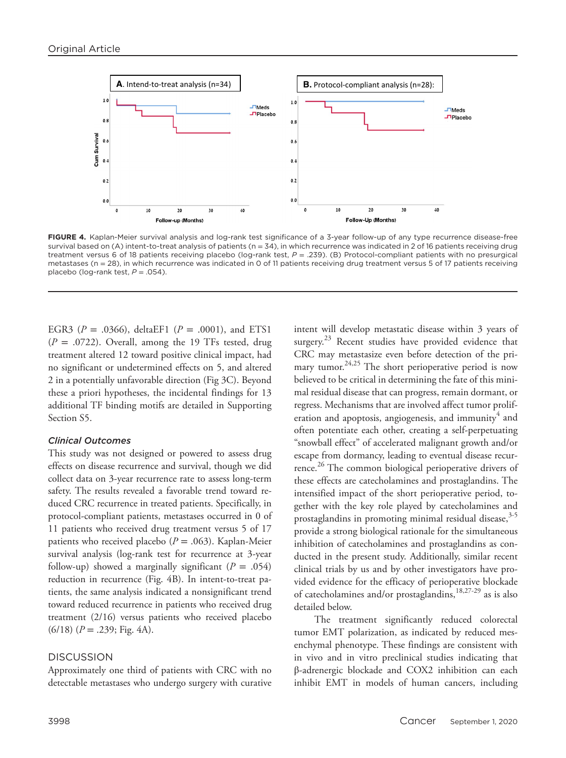

**FIGURE 4.** Kaplan-Meier survival analysis and log-rank test significance of a 3-year follow-up of any type recurrence disease-free survival based on (A) intent-to-treat analysis of patients ( $n = 34$ ), in which recurrence was indicated in 2 of 16 patients receiving drug treatment versus 6 of 18 patients receiving placebo (log-rank test, *P* = .239). (B) Protocol-compliant patients with no presurgical metastases (n = 28), in which recurrence was indicated in 0 of 11 patients receiving drug treatment versus 5 of 17 patients receiving placebo (log-rank test, *P* = .054).

EGR3 ( $P = .0366$ ), deltaEF1 ( $P = .0001$ ), and ETS1  $(P = .0722)$ . Overall, among the 19 TFs tested, drug treatment altered 12 toward positive clinical impact, had no significant or undetermined effects on 5, and altered 2 in a potentially unfavorable direction (Fig 3C). Beyond these a priori hypotheses, the incidental findings for 13 additional TF binding motifs are detailed in Supporting Section S5.

## *Clinical Outcomes*

This study was not designed or powered to assess drug effects on disease recurrence and survival, though we did collect data on 3-year recurrence rate to assess long-term safety. The results revealed a favorable trend toward reduced CRC recurrence in treated patients. Specifically, in protocol-compliant patients, metastases occurred in 0 of 11 patients who received drug treatment versus 5 of 17 patients who received placebo (*P* = .063). Kaplan-Meier survival analysis (log-rank test for recurrence at 3-year follow-up) showed a marginally significant  $(P = .054)$ reduction in recurrence (Fig. 4B). In intent-to-treat patients, the same analysis indicated a nonsignificant trend toward reduced recurrence in patients who received drug treatment (2/16) versus patients who received placebo (6/18) (*P* = .239; Fig. 4A).

## **DISCUSSION**

Approximately one third of patients with CRC with no detectable metastases who undergo surgery with curative intent will develop metastatic disease within 3 years of surgery.<sup>23</sup> Recent studies have provided evidence that CRC may metastasize even before detection of the primary tumor.<sup>24,25</sup> The short perioperative period is now believed to be critical in determining the fate of this minimal residual disease that can progress, remain dormant, or regress. Mechanisms that are involved affect tumor proliferation and apoptosis, angiogenesis, and immunity<sup>4</sup> and often potentiate each other, creating a self-perpetuating "snowball effect" of accelerated malignant growth and/or escape from dormancy, leading to eventual disease recurrence. 26 The common biological perioperative drivers of these effects are catecholamines and prostaglandins. The intensified impact of the short perioperative period, together with the key role played by catecholamines and prostaglandins in promoting minimal residual disease, $3-5$ provide a strong biological rationale for the simultaneous inhibition of catecholamines and prostaglandins as conducted in the present study. Additionally, similar recent clinical trials by us and by other investigators have provided evidence for the efficacy of perioperative blockade of catecholamines and/or prostaglandins,18,27-29 as is also detailed below.

The treatment significantly reduced colorectal tumor EMT polarization, as indicated by reduced mesenchymal phenotype. These findings are consistent with in vivo and in vitro preclinical studies indicating that β-adrenergic blockade and COX2 inhibition can each inhibit EMT in models of human cancers, including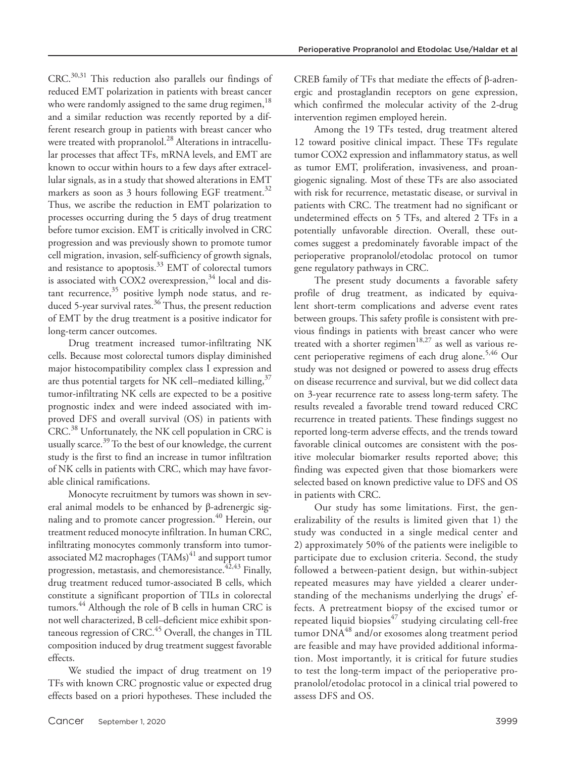CRC.<sup>30,31</sup> This reduction also parallels our findings of reduced EMT polarization in patients with breast cancer who were randomly assigned to the same drug regimen,<sup>18</sup> and a similar reduction was recently reported by a different research group in patients with breast cancer who were treated with propranolol. $^{28}$  Alterations in intracellular processes that affect TFs, mRNA levels, and EMT are known to occur within hours to a few days after extracellular signals, as in a study that showed alterations in EMT markers as soon as 3 hours following EGF treatment.<sup>32</sup> Thus, we ascribe the reduction in EMT polarization to processes occurring during the 5 days of drug treatment before tumor excision. EMT is critically involved in CRC progression and was previously shown to promote tumor cell migration, invasion, self-sufficiency of growth signals, and resistance to apoptosis.<sup>33</sup> EMT of colorectal tumors is associated with COX2 overexpression,  $34$  local and distant recurrence,  $35$  positive lymph node status, and reduced 5-year survival rates.<sup>36</sup> Thus, the present reduction of EMT by the drug treatment is a positive indicator for long-term cancer outcomes.

Drug treatment increased tumor-infiltrating NK cells. Because most colorectal tumors display diminished major histocompatibility complex class I expression and are thus potential targets for NK cell–mediated killing, $37$ tumor-infiltrating NK cells are expected to be a positive prognostic index and were indeed associated with improved DFS and overall survival (OS) in patients with CRC.<sup>38</sup> Unfortunately, the NK cell population in CRC is usually scarce.<sup>39</sup> To the best of our knowledge, the current study is the first to find an increase in tumor infiltration of NK cells in patients with CRC, which may have favorable clinical ramifications.

Monocyte recruitment by tumors was shown in several animal models to be enhanced by β-adrenergic signaling and to promote cancer progression.<sup>40</sup> Herein, our treatment reduced monocyte infiltration. In human CRC, infiltrating monocytes commonly transform into tumorassociated M2 macrophages (TAMs) $41$  and support tumor progression, metastasis, and chemoresistance.<sup> $42,43$ </sup> Finally, drug treatment reduced tumor-associated B cells, which constitute a significant proportion of TILs in colorectal tumors.44 Although the role of B cells in human CRC is not well characterized, B cell–deficient mice exhibit spontaneous regression of CRC. $45$  Overall, the changes in TIL composition induced by drug treatment suggest favorable effects.

We studied the impact of drug treatment on 19 TFs with known CRC prognostic value or expected drug effects based on a priori hypotheses. These included the

CREB family of TFs that mediate the effects of β-adrenergic and prostaglandin receptors on gene expression, which confirmed the molecular activity of the 2-drug intervention regimen employed herein.

Among the 19 TFs tested, drug treatment altered 12 toward positive clinical impact. These TFs regulate tumor COX2 expression and inflammatory status, as well as tumor EMT, proliferation, invasiveness, and proangiogenic signaling. Most of these TFs are also associated with risk for recurrence, metastatic disease, or survival in patients with CRC. The treatment had no significant or undetermined effects on 5 TFs, and altered 2 TFs in a potentially unfavorable direction. Overall, these outcomes suggest a predominately favorable impact of the perioperative propranolol/etodolac protocol on tumor gene regulatory pathways in CRC.

The present study documents a favorable safety profile of drug treatment, as indicated by equivalent short-term complications and adverse event rates between groups. This safety profile is consistent with previous findings in patients with breast cancer who were treated with a shorter regimen<sup>18,27</sup> as well as various recent perioperative regimens of each drug alone.<sup>5,46</sup> Our study was not designed or powered to assess drug effects on disease recurrence and survival, but we did collect data on 3-year recurrence rate to assess long-term safety. The results revealed a favorable trend toward reduced CRC recurrence in treated patients. These findings suggest no reported long-term adverse effects, and the trends toward favorable clinical outcomes are consistent with the positive molecular biomarker results reported above; this finding was expected given that those biomarkers were selected based on known predictive value to DFS and OS in patients with CRC.

Our study has some limitations. First, the generalizability of the results is limited given that 1) the study was conducted in a single medical center and 2) approximately 50% of the patients were ineligible to participate due to exclusion criteria. Second, the study followed a between-patient design, but within-subject repeated measures may have yielded a clearer understanding of the mechanisms underlying the drugs' effects. A pretreatment biopsy of the excised tumor or repeated liquid biopsies $47$  studying circulating cell-free tumor DNA<sup>48</sup> and/or exosomes along treatment period are feasible and may have provided additional information. Most importantly, it is critical for future studies to test the long-term impact of the perioperative propranolol/etodolac protocol in a clinical trial powered to assess DFS and OS.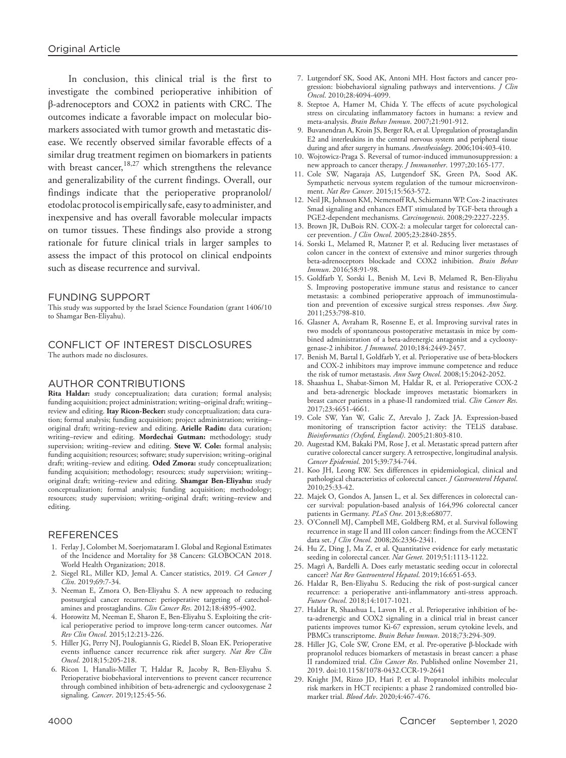In conclusion, this clinical trial is the first to investigate the combined perioperative inhibition of β-adrenoceptors and COX2 in patients with CRC. The outcomes indicate a favorable impact on molecular biomarkers associated with tumor growth and metastatic disease. We recently observed similar favorable effects of a similar drug treatment regimen on biomarkers in patients with breast cancer,<sup>18,27</sup> which strengthens the relevance and generalizability of the current findings. Overall, our findings indicate that the perioperative propranolol/ etodolac protocol is empirically safe, easy to administer, and inexpensive and has overall favorable molecular impacts on tumor tissues. These findings also provide a strong rationale for future clinical trials in larger samples to assess the impact of this protocol on clinical endpoints such as disease recurrence and survival.

## FUNDING SUPPORT

This study was supported by the Israel Science Foundation (grant 1406/10 to Shamgar Ben-Eliyahu).

#### CONFLICT OF INTEREST DISCLOSURES The authors made no disclosures.

## AUTHOR CONTRIBUTIONS

**Rita Haldar:** study conceptualization; data curation; formal analysis; funding acquisition; project administration; writing–original draft; writing– review and editing. **Itay Ricon-Becker:** study conceptualization; data curation; formal analysis; funding acquisition; project administration; writing– original draft; writing–review and editing. **Arielle Radin:** data curation; writing–review and editing. **Mordechai Gutman:** methodology; study supervision; writing–review and editing. **Steve W. Cole:** formal analysis; funding acquisition; resources; software; study supervision; writing–original draft; writing–review and editing. **Oded Zmora:** study conceptualization; funding acquisition; methodology; resources; study supervision; writing– original draft; writing–review and editing. **Shamgar Ben-Eliyahu:** study conceptualization; formal analysis; funding acquisition; methodology; resources; study supervision; writing–original draft; writing–review and editing.

## REFERENCES

- 1. Ferlay J, Colombet M, Soerjomataram I. Global and Regional Estimates of the Incidence and Mortality for 38 Cancers: GLOBOCAN 2018. World Health Organization; 2018.
- 2. Siegel RL, Miller KD, Jemal A. Cancer statistics, 2019. *CA Cancer J Clin*. 2019;69:7-34.
- 3. Neeman E, Zmora O, Ben-Eliyahu S. A new approach to reducing postsurgical cancer recurrence: perioperative targeting of catecholamines and prostaglandins. *Clin Cancer Res*. 2012;18:4895-4902.
- 4. Horowitz M, Neeman E, Sharon E, Ben-Eliyahu S. Exploiting the critical perioperative period to improve long-term cancer outcomes. *Nat Rev Clin Oncol*. 2015;12:213-226.
- 5. Hiller JG, Perry NJ, Poulogiannis G, Riedel B, Sloan EK. Perioperative events influence cancer recurrence risk after surgery. *Nat Rev Clin Oncol*. 2018;15:205-218.
- 6. Ricon I, Hanalis-Miller T, Haldar R, Jacoby R, Ben-Eliyahu S. Perioperative biobehavioral interventions to prevent cancer recurrence through combined inhibition of beta-adrenergic and cyclooxygenase 2 signaling. *Cancer*. 2019;125:45-56.
- 7. Lutgendorf SK, Sood AK, Antoni MH. Host factors and cancer progression: biobehavioral signaling pathways and interventions. *J Clin Oncol*. 2010;28:4094-4099.
- 8. Steptoe A, Hamer M, Chida Y. The effects of acute psychological stress on circulating inflammatory factors in humans: a review and meta-analysis. *Brain Behav Immun*. 2007;21:901-912.
- Buvanendran A, Kroin JS, Berger RA, et al. Upregulation of prostaglandin E2 and interleukins in the central nervous system and peripheral tissue during and after surgery in humans. *Anesthesiology*. 2006;104:403-410.
- 10. Wojtowicz-Praga S. Reversal of tumor-induced immunosuppression: a new approach to cancer therapy. *J Immunother*. 1997;20:165-177.
- 11. Cole SW, Nagaraja AS, Lutgendorf SK, Green PA, Sood AK. Sympathetic nervous system regulation of the tumour microenvironment. *Nat Rev Cancer*. 2015;15:563-572.
- 12. Neil JR, Johnson KM, Nemenoff RA, Schiemann WP. Cox-2 inactivates Smad signaling and enhances EMT stimulated by TGF-beta through a PGE2-dependent mechanisms. *Carcinogenesis*. 2008;29:2227-2235.
- 13. Brown JR, DuBois RN. COX-2: a molecular target for colorectal cancer prevention. *J Clin Oncol*. 2005;23:2840-2855.
- 14. Sorski L, Melamed R, Matzner P, et al. Reducing liver metastases of colon cancer in the context of extensive and minor surgeries through beta-adrenoceptors blockade and COX2 inhibition. *Brain Behav Immun*. 2016;58:91-98.
- 15. Goldfarb Y, Sorski L, Benish M, Levi B, Melamed R, Ben-Eliyahu S. Improving postoperative immune status and resistance to cancer metastasis: a combined perioperative approach of immunostimulation and prevention of excessive surgical stress responses. *Ann Surg*. 2011;253:798-810.
- 16. Glasner A, Avraham R, Rosenne E, et al. Improving survival rates in two models of spontaneous postoperative metastasis in mice by combined administration of a beta-adrenergic antagonist and a cyclooxygenase-2 inhibitor. *J Immunol*. 2010;184:2449-2457.
- 17. Benish M, Bartal I, Goldfarb Y, et al. Perioperative use of beta-blockers and COX-2 inhibitors may improve immune competence and reduce the risk of tumor metastasis. *Ann Surg Oncol*. 2008;15:2042-2052.
- 18. Shaashua L, Shabat-Simon M, Haldar R, et al. Perioperative COX-2 and beta-adrenergic blockade improves metastatic biomarkers in breast cancer patients in a phase-II randomized trial. *Clin Cancer Res*. 2017;23:4651-4661.
- 19. Cole SW, Yan W, Galic Z, Arevalo J, Zack JA. Expression-based monitoring of transcription factor activity: the TELiS database. *Bioinformatics (Oxford, England)*. 2005;21:803-810.
- 20. Augestad KM, Bakaki PM, Rose J, et al. Metastatic spread pattern after curative colorectal cancer surgery. A retrospective, longitudinal analysis. *Cancer Epidemiol*. 2015;39:734-744.
- 21. Koo JH, Leong RW. Sex differences in epidemiological, clinical and pathological characteristics of colorectal cancer. *J Gastroenterol Hepatol*. 2010;25:33-42.
- 22. Majek O, Gondos A, Jansen L, et al. Sex differences in colorectal cancer survival: population-based analysis of 164,996 colorectal cancer patients in Germany. *PLoS One*. 2013;8:e68077.
- 23. O'Connell MJ, Campbell ME, Goldberg RM, et al. Survival following recurrence in stage II and III colon cancer: findings from the ACCENT data set. *J Clin Oncol*. 2008;26:2336-2341.
- 24. Hu Z, Ding J, Ma Z, et al. Quantitative evidence for early metastatic seeding in colorectal cancer. *Nat Genet*. 2019;51:1113-1122.
- 25. Magrì A, Bardelli A. Does early metastatic seeding occur in colorectal cancer? *Nat Rev Gastroenterol Hepatol*. 2019;16:651-653.
- 26. Haldar R, Ben-Eliyahu S. Reducing the risk of post-surgical cancer recurrence: a perioperative anti-inflammatory anti-stress approach. *Future Oncol*. 2018;14:1017-1021.
- 27. Haldar R, Shaashua L, Lavon H, et al. Perioperative inhibition of beta-adrenergic and COX2 signaling in a clinical trial in breast cancer patients improves tumor Ki-67 expression, serum cytokine levels, and PBMCs transcriptome. *Brain Behav Immun*. 2018;73:294-309.
- 28. Hiller JG, Cole SW, Crone EM, et al. Pre-operative β-blockade with propranolol reduces biomarkers of metastasis in breast cancer: a phase II randomized trial. *Clin Cancer Res*. Published online November 21, 2019. doi:[10.1158/1078-0432.CCR-19-2641](https://doi.org/10.1158/1078-0432.CCR-19-2641)
- 29. Knight JM, Rizzo JD, Hari P, et al. Propranolol inhibits molecular risk markers in HCT recipients: a phase 2 randomized controlled biomarker trial. *Blood Adv*. 2020;4:467-476.